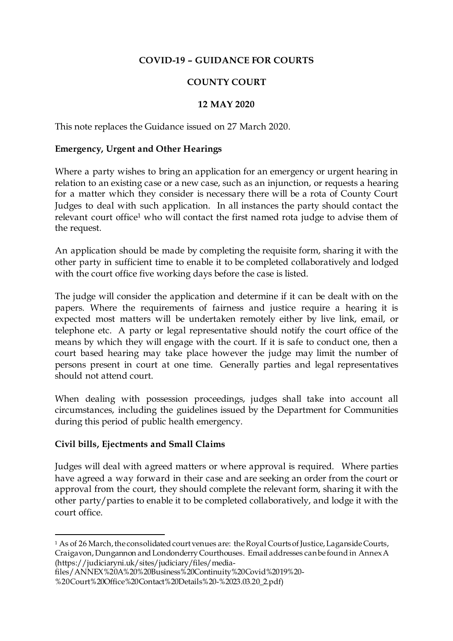## **COVID-19 – GUIDANCE FOR COURTS**

# **COUNTY COURT**

## **12 MAY 2020**

This note replaces the Guidance issued on 27 March 2020.

#### **Emergency, Urgent and Other Hearings**

Where a party wishes to bring an application for an emergency or urgent hearing in relation to an existing case or a new case, such as an injunction, or requests a hearing for a matter which they consider is necessary there will be a rota of County Court Judges to deal with such application. In all instances the party should contact the relevant court office<sup>1</sup> who will contact the first named rota judge to advise them of the request.

An application should be made by completing the requisite form, sharing it with the other party in sufficient time to enable it to be completed collaboratively and lodged with the court office five working days before the case is listed.

The judge will consider the application and determine if it can be dealt with on the papers. Where the requirements of fairness and justice require a hearing it is expected most matters will be undertaken remotely either by live link, email, or telephone etc. A party or legal representative should notify the court office of the means by which they will engage with the court. If it is safe to conduct one, then a court based hearing may take place however the judge may limit the number of persons present in court at one time. Generally parties and legal representatives should not attend court.

When dealing with possession proceedings, judges shall take into account all circumstances, including the guidelines issued by the Department for Communities during this period of public health emergency.

## **Civil bills, Ejectments and Small Claims**

 $\overline{a}$ 

Judges will deal with agreed matters or where approval is required. Where parties have agreed a way forward in their case and are seeking an order from the court or approval from the court, they should complete the relevant form, sharing it with the other party/parties to enable it to be completed collaboratively, and lodge it with the court office.

<sup>&</sup>lt;sup>1</sup> As of 26 March, the consolidated court venues are: the Royal Courts of Justice, Laganside Courts, Craigavon,Dungannon and Londonderry Courthouses. Email addresses can be found in Annex A (https://judiciaryni.uk/sites/judiciary/files/media-

files/ANNEX%20A%20%20Business%20Continuity%20Covid%2019%20- %20Court%20Office%20Contact%20Details%20-%2023.03.20\_2.pdf)